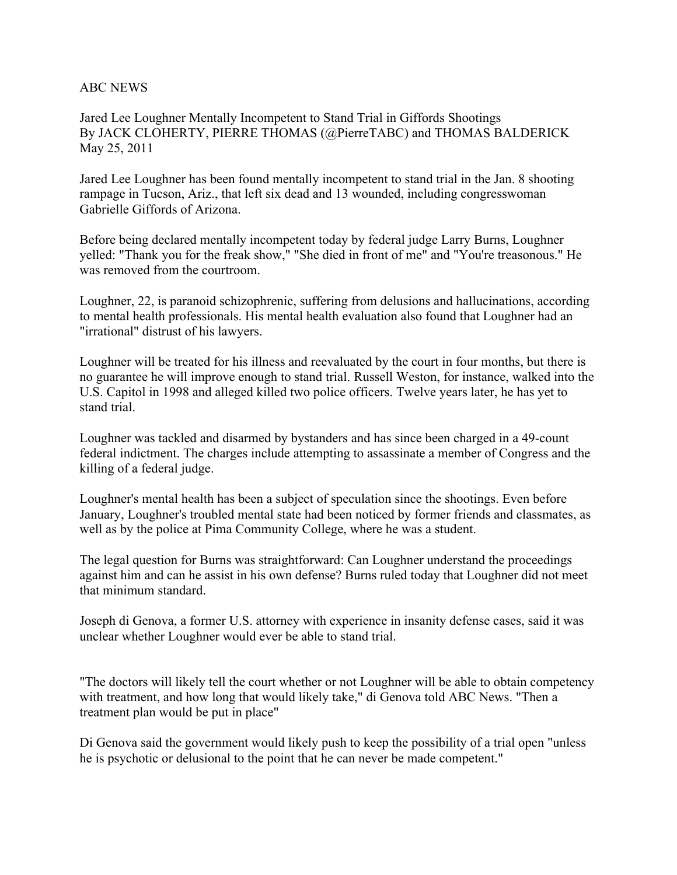## ABC NEWS

Jared Lee Loughner Mentally Incompetent to Stand Trial in Giffords Shootings By JACK CLOHERTY, PIERRE THOMAS (@PierreTABC) and THOMAS BALDERICK May 25, 2011

Jared Lee Loughner has been found mentally incompetent to stand trial in the Jan. 8 shooting rampage in Tucson, Ariz., that left six dead and 13 wounded, including congresswoman Gabrielle Giffords of Arizona.

Before being declared mentally incompetent today by federal judge Larry Burns, Loughner yelled: "Thank you for the freak show," "She died in front of me" and "You're treasonous." He was removed from the courtroom.

Loughner, 22, is paranoid schizophrenic, suffering from delusions and hallucinations, according to mental health professionals. His mental health evaluation also found that Loughner had an "irrational" distrust of his lawyers.

Loughner will be treated for his illness and reevaluated by the court in four months, but there is no guarantee he will improve enough to stand trial. Russell Weston, for instance, walked into the U.S. Capitol in 1998 and alleged killed two police officers. Twelve years later, he has yet to stand trial.

Loughner was tackled and disarmed by bystanders and has since been charged in a 49-count federal indictment. The charges include attempting to assassinate a member of Congress and the killing of a federal judge.

Loughner's mental health has been a subject of speculation since the shootings. Even before January, Loughner's troubled mental state had been noticed by former friends and classmates, as well as by the police at Pima Community College, where he was a student.

The legal question for Burns was straightforward: Can Loughner understand the proceedings against him and can he assist in his own defense? Burns ruled today that Loughner did not meet that minimum standard.

Joseph di Genova, a former U.S. attorney with experience in insanity defense cases, said it was unclear whether Loughner would ever be able to stand trial.

"The doctors will likely tell the court whether or not Loughner will be able to obtain competency with treatment, and how long that would likely take," di Genova told ABC News. "Then a treatment plan would be put in place"

Di Genova said the government would likely push to keep the possibility of a trial open "unless he is psychotic or delusional to the point that he can never be made competent."